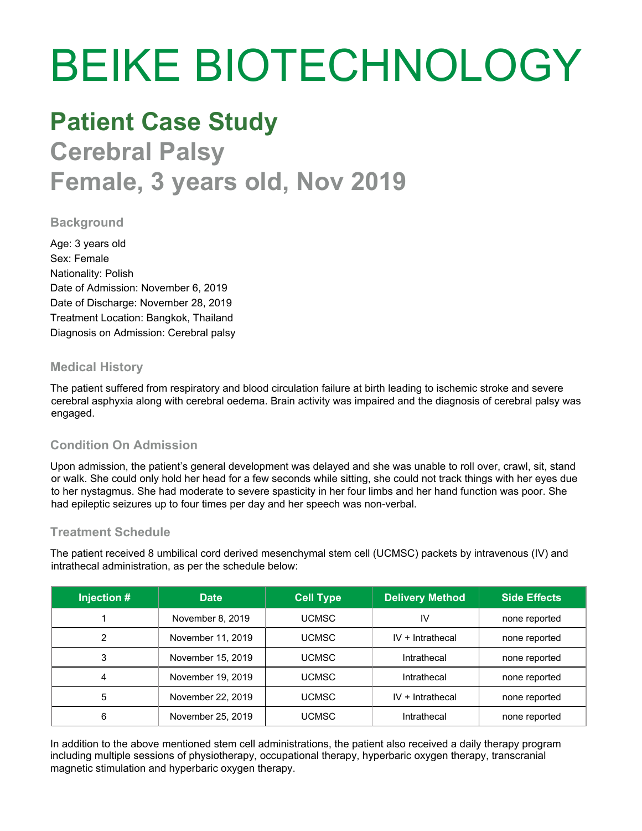# BEIKE BIOTECHNOLOGY

## **Patient Case Study**

**Cerebral Palsy Female, 3 years old, Nov 2019**

#### **Background**

Age: 3 years old Sex: Female Nationality: Polish Date of Admission: November 6, 2019 Date of Discharge: November 28, 2019 Treatment Location: Bangkok, Thailand Diagnosis on Admission: Cerebral palsy

#### **Medical History**

The patient suffered from respiratory and blood circulation failure at birth leading to ischemic stroke and severe cerebral asphyxia along with cerebral oedema. Brain activity was impaired and the diagnosis of cerebral palsy was engaged.

#### **Condition On Admission**

Upon admission, the patient's general development was delayed and she was unable to roll over, crawl, sit, stand or walk. She could only hold her head for a few seconds while sitting, she could not track things with her eyes due to her nystagmus. She had moderate to severe spasticity in her four limbs and her hand function was poor. She had epileptic seizures up to four times per day and her speech was non-verbal.

#### **Treatment Schedule**

The patient received 8 umbilical cord derived mesenchymal stem cell (UCMSC) packets by intravenous (IV) and intrathecal administration, as per the schedule below:

| Injection # | <b>Date</b>       | <b>Cell Type</b> | <b>Delivery Method</b> | <b>Side Effects</b> |
|-------------|-------------------|------------------|------------------------|---------------------|
|             | November 8, 2019  | <b>UCMSC</b>     | IV                     | none reported       |
| ົ           | November 11, 2019 | <b>UCMSC</b>     | $IV + Intrathecal$     | none reported       |
| 3           | November 15, 2019 | <b>UCMSC</b>     | Intrathecal            | none reported       |
| 4           | November 19, 2019 | <b>UCMSC</b>     | Intrathecal            | none reported       |
| 5           | November 22, 2019 | <b>UCMSC</b>     | $IV + Intrathecal$     | none reported       |
| 6           | November 25, 2019 | UCMSC            | Intrathecal            | none reported       |

In addition to the above mentioned stem cell administrations, the patient also received a daily therapy program including multiple sessions of physiotherapy, occupational therapy, hyperbaric oxygen therapy, transcranial magnetic stimulation and hyperbaric oxygen therapy.